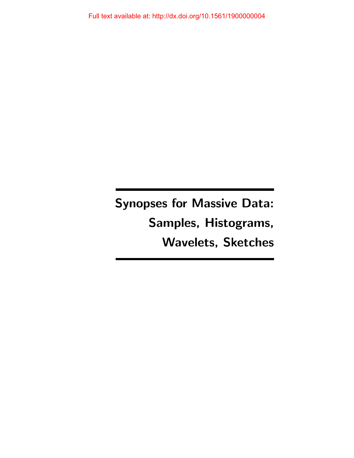Synopses for Massive Data: Samples, Histograms, Wavelets, Sketches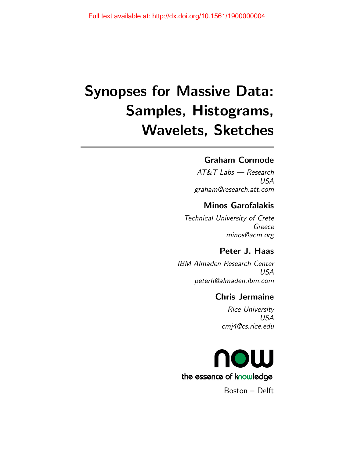# Synopses for Massive Data: Samples, Histograms, Wavelets, Sketches

# Graham Cormode

AT&T Labs — Research USA graham@research.att.com

# Minos Garofalakis

Technical University of Crete Greece minos@acm.org

# Peter J. Haas

IBM Almaden Research Center USA peterh@almaden.ibm.com

# Chris Jermaine

Rice University USA cmj4@cs.rice.edu



Boston – Delft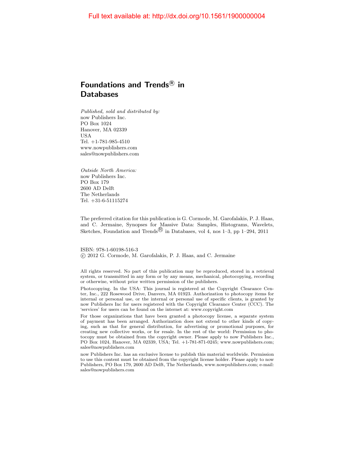# Foundations and Trends ${}^{\text{\textregistered}}$  in **Databases**

Published, sold and distributed by: now Publishers Inc. PO Box 1024 Hanover, MA 02339 USA Tel. +1-781-985-4510 www.nowpublishers.com sales@nowpublishers.com

Outside North America: now Publishers Inc. PO Box 179 2600 AD Delft The Netherlands Tel. +31-6-51115274

The preferred citation for this publication is G. Cormode, M. Garofalakis, P. J. Haas, and C. Jermaine, Synopses for Massive Data: Samples, Histograms, Wavelets, Sketches, Foundation and Trends<sup> $\overline{\textcircled{B}}$ </sup> in Databases, vol 4, nos 1–3, pp 1–294, 2011

ISBN: 978-1-60198-516-3 c 2012 G. Cormode, M. Garofalakis, P. J. Haas, and C. Jermaine

All rights reserved. No part of this publication may be reproduced, stored in a retrieval system, or transmitted in any form or by any means, mechanical, photocopying, recording or otherwise, without prior written permission of the publishers.

Photocopying. In the USA: This journal is registered at the Copyright Clearance Center, Inc., 222 Rosewood Drive, Danvers, MA 01923. Authorization to photocopy items for internal or personal use, or the internal or personal use of specific clients, is granted by now Publishers Inc for users registered with the Copyright Clearance Center (CCC). The 'services' for users can be found on the internet at: www.copyright.com

For those organizations that have been granted a photocopy license, a separate system of payment has been arranged. Authorization does not extend to other kinds of copying, such as that for general distribution, for advertising or promotional purposes, for creating new collective works, or for resale. In the rest of the world: Permission to photocopy must be obtained from the copyright owner. Please apply to now Publishers Inc., PO Box 1024, Hanover, MA 02339, USA; Tel. +1-781-871-0245; www.nowpublishers.com; sales@nowpublishers.com

now Publishers Inc. has an exclusive license to publish this material worldwide. Permission to use this content must be obtained from the copyright license holder. Please apply to now Publishers, PO Box 179, 2600 AD Delft, The Netherlands, www.nowpublishers.com; e-mail: sales@nowpublishers.com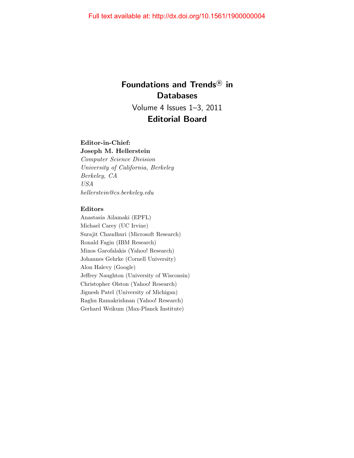# Foundations and Trends<sup>®</sup> in **Databases**

Volume 4 Issues 1–3, 2011 Editorial Board

# Editor-in-Chief:

Joseph M. Hellerstein Computer Science Division University of California, Berkeley Berkeley, CA USA hellerstein@cs.berkeley.edu

# Editors

Anastasia Ailamaki (EPFL) Michael Carey (UC Irvine) Surajit Chaudhuri (Microsoft Research) Ronald Fagin (IBM Research) Minos Garofalakis (Yahoo! Research) Johannes Gehrke (Cornell University) Alon Halevy (Google) Jeffrey Naughton (University of Wisconsin) Christopher Olston (Yahoo! Research) Jignesh Patel (University of Michigan) Raghu Ramakrishnan (Yahoo! Research) Gerhard Weikum (Max-Planck Institute)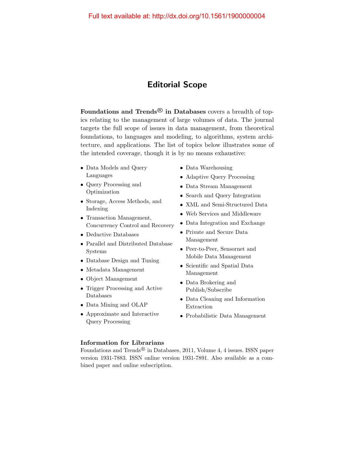# Editorial Scope

Foundations and Trends<sup>®</sup> in Databases covers a breadth of topics relating to the management of large volumes of data. The journal targets the full scope of issues in data management, from theoretical foundations, to languages and modeling, to algorithms, system architecture, and applications. The list of topics below illustrates some of the intended coverage, though it is by no means exhaustive:

- Data Models and Query Languages
- Query Processing and Optimization
- Storage, Access Methods, and Indexing
- Transaction Management, Concurrency Control and Recovery
- Deductive Databases
- Parallel and Distributed Database Systems
- Database Design and Tuning
- Metadata Management
- Object Management
- Trigger Processing and Active Databases
- Data Mining and OLAP
- Approximate and Interactive Query Processing
- Data Warehousing
- Adaptive Query Processing
- Data Stream Management
- Search and Query Integration
- XML and Semi-Structured Data
- Web Services and Middleware
- Data Integration and Exchange
- Private and Secure Data Management
- Peer-to-Peer, Sensornet and Mobile Data Management
- Scientific and Spatial Data Management
- Data Brokering and Publish/Subscribe
- Data Cleaning and Information Extraction
- Probabilistic Data Management

# Information for Librarians

Foundations and Trends<sup>®</sup> in Databases, 2011, Volume 4, 4 issues. ISSN paper version 1931-7883. ISSN online version 1931-7891. Also available as a combined paper and online subscription.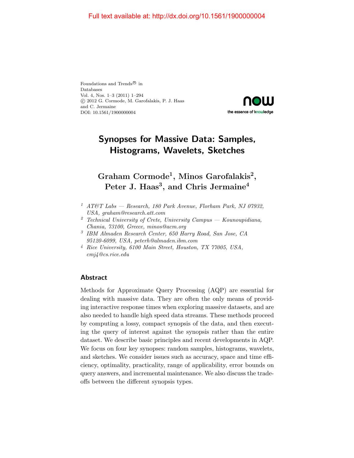Foundations and Trends<br> $^{\circledR}$  in Databases Vol. 4, Nos. 1–3 (2011) 1–294 c 2012 G. Cormode, M. Garofalakis, P. J. Haas and C. Jermaine DOI: 10.1561/1900000004



# Synopses for Massive Data: Samples, Histograms, Wavelets, Sketches

# $G$ raham  $Comode<sup>1</sup>, Minos Garofalakis<sup>2</sup>,$ Peter J. Haas $^3,$  and Chris Jermaine $^4$

- <sup>1</sup> AT&T Labs Research, 180 Park Avenue, Florham Park, NJ 07932, USA, graham@research.att.com
- <sup>2</sup> Technical University of Crete, University Campus Kounoupidiana, Chania, 73100, Greece, minos@acm.org
- 3 IBM Almaden Research Center, 650 Harry Road, San Jose, CA 95120-6099, USA, peterh@almaden.ibm.com
- <sup>4</sup> Rice University, 6100 Main Street, Houston, TX 77005, USA, cmj4@cs.rice.edu

# Abstract

Methods for Approximate Query Processing (AQP) are essential for dealing with massive data. They are often the only means of providing interactive response times when exploring massive datasets, and are also needed to handle high speed data streams. These methods proceed by computing a lossy, compact synopsis of the data, and then executing the query of interest against the synopsis rather than the entire dataset. We describe basic principles and recent developments in AQP. We focus on four key synopses: random samples, histograms, wavelets, and sketches. We consider issues such as accuracy, space and time efficiency, optimality, practicality, range of applicability, error bounds on query answers, and incremental maintenance. We also discuss the tradeoffs between the different synopsis types.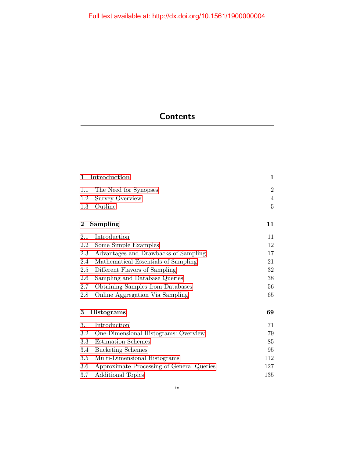# **Contents**

| 1        | Introduction                              | $\mathbf{1}$   |
|----------|-------------------------------------------|----------------|
| 1.1      | The Need for Synopses                     | $\overline{2}$ |
| 1.2      | <b>Survey Overview</b>                    | $\overline{4}$ |
| 1.3      | Outline                                   | $\overline{5}$ |
| $\bf{2}$ | Sampling                                  | 11             |
| 2.1      | Introduction                              | 11             |
| 2.2      | Some Simple Examples                      | 12             |
| 2.3      | Advantages and Drawbacks of Sampling      | 17             |
| 2.4      | Mathematical Essentials of Sampling       | 21             |
| 2.5      | Different Flavors of Sampling             | 32             |
| 2.6      | Sampling and Database Queries             | 38             |
| 2.7      | Obtaining Samples from Databases          | 56             |
| 2.8      | Online Aggregation Via Sampling           | 65             |
| 3        | <b>Histograms</b>                         | 69             |
| 3.1      | Introduction                              | 71             |
| 3.2      | One-Dimensional Histograms: Overview      | 79             |
| 3.3      | <b>Estimation Schemes</b>                 | 85             |
| 3.4      | <b>Bucketing Schemes</b>                  | 95             |
| 3.5      | Multi-Dimensional Histograms              | 112            |
| 3.6      | Approximate Processing of General Queries | 127            |
| 3.7      | <b>Additional Topics</b>                  | 135            |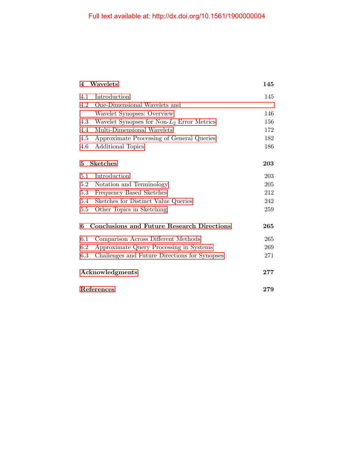| Wavelets<br>$\overline{4}$                             | 145 |
|--------------------------------------------------------|-----|
| Introduction<br>4.1                                    | 145 |
| 4.2<br>One-Dimensional Wavelets and                    |     |
| Wavelet Synopses: Overview                             | 146 |
| Wavelet Synopses for Non- $L_2$ Error Metrics<br>4.3   | 156 |
| Multi-Dimensional Wavelets<br>4.4                      | 172 |
| 4.5<br>Approximate Processing of General Queries       | 182 |
| 4.6<br><b>Additional Topics</b>                        | 186 |
| <b>Sketches</b><br>5                                   | 203 |
| Introduction<br>5.1                                    | 203 |
| 5.2<br>Notation and Terminology                        | 205 |
| 5.3<br>Frequency Based Sketches                        | 212 |
| 5.4<br>Sketches for Distinct Value Queries             | 242 |
| Other Topics in Sketching<br>$5.5\,$                   | 259 |
| <b>Conclusions and Future Research Directions</b><br>6 | 265 |
| 6.1<br>Comparison Across Different Methods             | 265 |
| Approximate Query Processing in Systems<br>6.2         | 269 |
| 6.3<br>Challenges and Future Directions for Synopses   | 271 |
| Acknowledgments                                        | 277 |
| References                                             |     |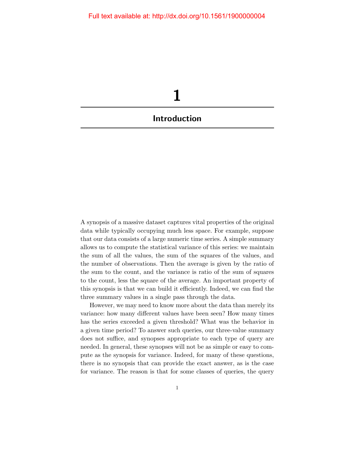<span id="page-8-0"></span>

A synopsis of a massive dataset captures vital properties of the original data while typically occupying much less space. For example, suppose that our data consists of a large numeric time series. A simple summary allows us to compute the statistical variance of this series: we maintain the sum of all the values, the sum of the squares of the values, and the number of observations. Then the average is given by the ratio of the sum to the count, and the variance is ratio of the sum of squares to the count, less the square of the average. An important property of this synopsis is that we can build it efficiently. Indeed, we can find the three summary values in a single pass through the data.

However, we may need to know more about the data than merely its variance: how many different values have been seen? How many times has the series exceeded a given threshold? What was the behavior in a given time period? To answer such queries, our three-value summary does not suffice, and synopses appropriate to each type of query are needed. In general, these synopses will not be as simple or easy to compute as the synopsis for variance. Indeed, for many of these questions, there is no synopsis that can provide the exact answer, as is the case for variance. The reason is that for some classes of queries, the query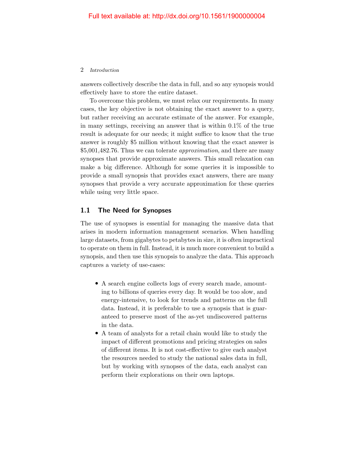# 2 Introduction

answers collectively describe the data in full, and so any synopsis would effectively have to store the entire dataset.

To overcome this problem, we must relax our requirements. In many cases, the key objective is not obtaining the exact answer to a query, but rather receiving an accurate estimate of the answer. For example, in many settings, receiving an answer that is within 0.1% of the true result is adequate for our needs; it might suffice to know that the true answer is roughly \$5 million without knowing that the exact answer is \$5,001,482.76. Thus we can tolerate *approximation*, and there are many synopses that provide approximate answers. This small relaxation can make a big difference. Although for some queries it is impossible to provide a small synopsis that provides exact answers, there are many synopses that provide a very accurate approximation for these queries while using very little space.

# <span id="page-9-0"></span>1.1 The Need for Synopses

The use of synopses is essential for managing the massive data that arises in modern information management scenarios. When handling large datasets, from gigabytes to petabytes in size, it is often impractical to operate on them in full. Instead, it is much more convenient to build a synopsis, and then use this synopsis to analyze the data. This approach captures a variety of use-cases:

- A search engine collects logs of every search made, amounting to billions of queries every day. It would be too slow, and energy-intensive, to look for trends and patterns on the full data. Instead, it is preferable to use a synopsis that is guaranteed to preserve most of the as-yet undiscovered patterns in the data.
- A team of analysts for a retail chain would like to study the impact of different promotions and pricing strategies on sales of different items. It is not cost-effective to give each analyst the resources needed to study the national sales data in full, but by working with synopses of the data, each analyst can perform their explorations on their own laptops.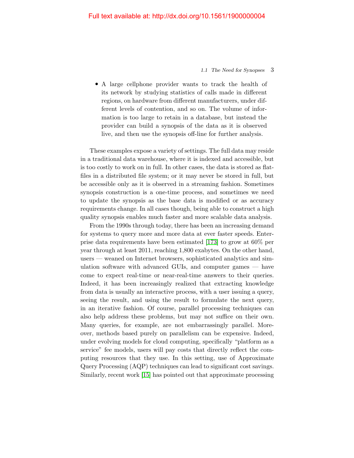#### 1.1 The Need for Synopses 3

• A large cellphone provider wants to track the health of its network by studying statistics of calls made in different regions, on hardware from different manufacturers, under different levels of contention, and so on. The volume of information is too large to retain in a database, but instead the provider can build a synopsis of the data as it is observed live, and then use the synopsis off-line for further analysis.

These examples expose a variety of settings. The full data may reside in a traditional data warehouse, where it is indexed and accessible, but is too costly to work on in full. In other cases, the data is stored as flatfiles in a distributed file system; or it may never be stored in full, but be accessible only as it is observed in a streaming fashion. Sometimes synopsis construction is a one-time process, and sometimes we need to update the synopsis as the base data is modified or as accuracy requirements change. In all cases though, being able to construct a high quality synopsis enables much faster and more scalable data analysis.

From the 1990s through today, there has been an increasing demand for systems to query more and more data at ever faster speeds. Enterprise data requirements have been estimated [\[173\]](#page-27-0) to grow at 60% per year through at least 2011, reaching 1,800 exabytes. On the other hand, users — weaned on Internet browsers, sophisticated analytics and simulation software with advanced GUIs, and computer games — have come to expect real-time or near-real-time answers to their queries. Indeed, it has been increasingly realized that extracting knowledge from data is usually an interactive process, with a user issuing a query, seeing the result, and using the result to formulate the next query, in an iterative fashion. Of course, parallel processing techniques can also help address these problems, but may not suffice on their own. Many queries, for example, are not embarrassingly parallel. Moreover, methods based purely on parallelism can be expensive. Indeed, under evolving models for cloud computing, specifically "platform as a service" fee models, users will pay costs that directly reflect the computing resources that they use. In this setting, use of Approximate Query Processing (AQP) techniques can lead to significant cost savings. Similarly, recent work [\[15\]](#page-18-0) has pointed out that approximate processing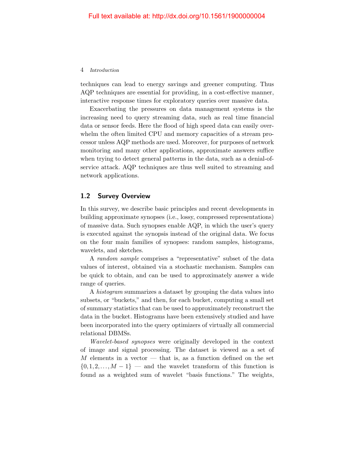### 4 Introduction

techniques can lead to energy savings and greener computing. Thus AQP techniques are essential for providing, in a cost-effective manner, interactive response times for exploratory queries over massive data.

Exacerbating the pressures on data management systems is the increasing need to query streaming data, such as real time financial data or sensor feeds. Here the flood of high speed data can easily overwhelm the often limited CPU and memory capacities of a stream processor unless AQP methods are used. Moreover, for purposes of network monitoring and many other applications, approximate answers suffice when trying to detect general patterns in the data, such as a denial-ofservice attack. AQP techniques are thus well suited to streaming and network applications.

# <span id="page-11-0"></span>1.2 Survey Overview

In this survey, we describe basic principles and recent developments in building approximate synopses (i.e., lossy, compressed representations) of massive data. Such synopses enable AQP, in which the user's query is executed against the synopsis instead of the original data. We focus on the four main families of synopses: random samples, histograms, wavelets, and sketches.

A random sample comprises a "representative" subset of the data values of interest, obtained via a stochastic mechanism. Samples can be quick to obtain, and can be used to approximately answer a wide range of queries.

A histogram summarizes a dataset by grouping the data values into subsets, or "buckets," and then, for each bucket, computing a small set of summary statistics that can be used to approximately reconstruct the data in the bucket. Histograms have been extensively studied and have been incorporated into the query optimizers of virtually all commercial relational DBMSs.

Wavelet-based synopses were originally developed in the context of image and signal processing. The dataset is viewed as a set of M elements in a vector  $-$  that is, as a function defined on the set  $\{0,1,2,\ldots,M-1\}$  — and the wavelet transform of this function is found as a weighted sum of wavelet "basis functions." The weights,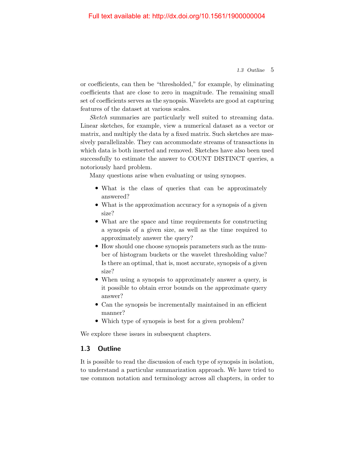1.3 Outline 5

or coefficients, can then be "thresholded," for example, by eliminating coefficients that are close to zero in magnitude. The remaining small set of coefficients serves as the synopsis. Wavelets are good at capturing features of the dataset at various scales.

Sketch summaries are particularly well suited to streaming data. Linear sketches, for example, view a numerical dataset as a vector or matrix, and multiply the data by a fixed matrix. Such sketches are massively parallelizable. They can accommodate streams of transactions in which data is both inserted and removed. Sketches have also been used successfully to estimate the answer to COUNT DISTINCT queries, a notoriously hard problem.

Many questions arise when evaluating or using synopses.

- What is the class of queries that can be approximately answered?
- What is the approximation accuracy for a synopsis of a given size?
- What are the space and time requirements for constructing a synopsis of a given size, as well as the time required to approximately answer the query?
- How should one choose synopsis parameters such as the number of histogram buckets or the wavelet thresholding value? Is there an optimal, that is, most accurate, synopsis of a given size?
- When using a synopsis to approximately answer a query, is it possible to obtain error bounds on the approximate query answer?
- Can the synopsis be incrementally maintained in an efficient manner?
- Which type of synopsis is best for a given problem?

We explore these issues in subsequent chapters.

# <span id="page-12-0"></span>1.3 Outline

It is possible to read the discussion of each type of synopsis in isolation, to understand a particular summarization approach. We have tried to use common notation and terminology across all chapters, in order to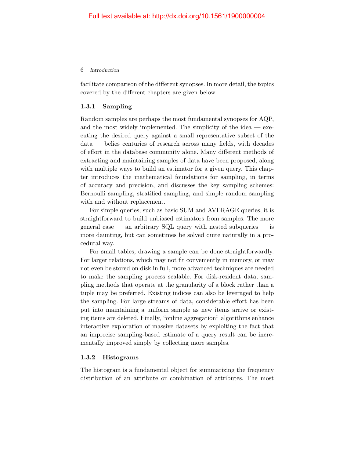# 6 Introduction

facilitate comparison of the different synopses. In more detail, the topics covered by the different chapters are given below.

# 1.3.1 Sampling

Random samples are perhaps the most fundamental synopses for AQP, and the most widely implemented. The simplicity of the idea  $-$  executing the desired query against a small representative subset of the data — belies centuries of research across many fields, with decades of effort in the database community alone. Many different methods of extracting and maintaining samples of data have been proposed, along with multiple ways to build an estimator for a given query. This chapter introduces the mathematical foundations for sampling, in terms of accuracy and precision, and discusses the key sampling schemes: Bernoulli sampling, stratified sampling, and simple random sampling with and without replacement.

For simple queries, such as basic SUM and AVERAGE queries, it is straightforward to build unbiased estimators from samples. The more general case — an arbitrary  $\text{SQL}$  query with nested subqueries — is more daunting, but can sometimes be solved quite naturally in a procedural way.

For small tables, drawing a sample can be done straightforwardly. For larger relations, which may not fit conveniently in memory, or may not even be stored on disk in full, more advanced techniques are needed to make the sampling process scalable. For disk-resident data, sampling methods that operate at the granularity of a block rather than a tuple may be preferred. Existing indices can also be leveraged to help the sampling. For large streams of data, considerable effort has been put into maintaining a uniform sample as new items arrive or existing items are deleted. Finally, "online aggregation" algorithms enhance interactive exploration of massive datasets by exploiting the fact that an imprecise sampling-based estimate of a query result can be incrementally improved simply by collecting more samples.

# 1.3.2 Histograms

The histogram is a fundamental object for summarizing the frequency distribution of an attribute or combination of attributes. The most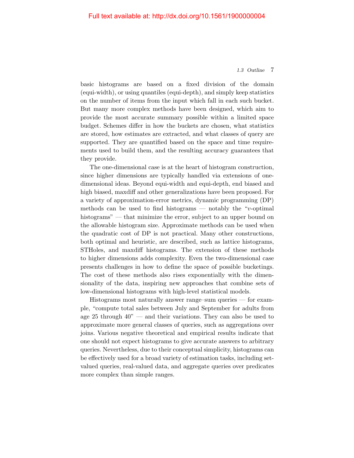### 1.3 Outline 7

basic histograms are based on a fixed division of the domain (equi-width), or using quantiles (equi-depth), and simply keep statistics on the number of items from the input which fall in each such bucket. But many more complex methods have been designed, which aim to provide the most accurate summary possible within a limited space budget. Schemes differ in how the buckets are chosen, what statistics are stored, how estimates are extracted, and what classes of query are supported. They are quantified based on the space and time requirements used to build them, and the resulting accuracy guarantees that they provide.

The one-dimensional case is at the heart of histogram construction, since higher dimensions are typically handled via extensions of onedimensional ideas. Beyond equi-width and equi-depth, end biased and high biased, maxdiff and other generalizations have been proposed. For a variety of approximation-error metrics, dynamic programming (DP) methods can be used to find histograms — notably the "v-optimal" histograms" — that minimize the error, subject to an upper bound on the allowable histogram size. Approximate methods can be used when the quadratic cost of DP is not practical. Many other constructions, both optimal and heuristic, are described, such as lattice histograms, STHoles, and maxdiff histograms. The extension of these methods to higher dimensions adds complexity. Even the two-dimensional case presents challenges in how to define the space of possible bucketings. The cost of these methods also rises exponentially with the dimensionality of the data, inspiring new approaches that combine sets of low-dimensional histograms with high-level statistical models.

Histograms most naturally answer range–sum queries — for example, "compute total sales between July and September for adults from age 25 through 40" — and their variations. They can also be used to approximate more general classes of queries, such as aggregations over joins. Various negative theoretical and empirical results indicate that one should not expect histograms to give accurate answers to arbitrary queries. Nevertheless, due to their conceptual simplicity, histograms can be effectively used for a broad variety of estimation tasks, including setvalued queries, real-valued data, and aggregate queries over predicates more complex than simple ranges.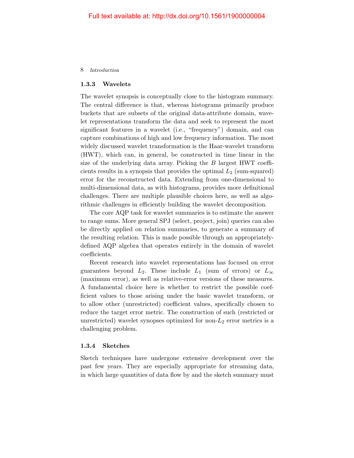# 8 Introduction

# 1.3.3 Wavelets

The wavelet synopsis is conceptually close to the histogram summary. The central difference is that, whereas histograms primarily produce buckets that are subsets of the original data-attribute domain, wavelet representations transform the data and seek to represent the most significant features in a wavelet (i.e., "frequency") domain, and can capture combinations of high and low frequency information. The most widely discussed wavelet transformation is the Haar-wavelet transform (HWT), which can, in general, be constructed in time linear in the size of the underlying data array. Picking the  $B$  largest HWT coefficients results in a synopsis that provides the optimal  $L_2$  (sum-squared) error for the reconstructed data. Extending from one-dimensional to multi-dimensional data, as with histograms, provides more definitional challenges. There are multiple plausible choices here, as well as algorithmic challenges in efficiently building the wavelet decomposition.

The core AQP task for wavelet summaries is to estimate the answer to range sums. More general SPJ (select, project, join) queries can also be directly applied on relation summaries, to generate a summary of the resulting relation. This is made possible through an appropriatelydefined AQP algebra that operates entirely in the domain of wavelet coefficients.

Recent research into wavelet representations has focused on error guarantees beyond  $L_2$ . These include  $L_1$  (sum of errors) or  $L_{\infty}$ (maximum error), as well as relative-error versions of these measures. A fundamental choice here is whether to restrict the possible coefficient values to those arising under the basic wavelet transform, or to allow other (unrestricted) coefficient values, specifically chosen to reduce the target error metric. The construction of such (restricted or unrestricted) wavelet synopses optimized for non- $L_2$  error metrics is a challenging problem.

### 1.3.4 Sketches

Sketch techniques have undergone extensive development over the past few years. They are especially appropriate for streaming data, in which large quantities of data flow by and the sketch summary must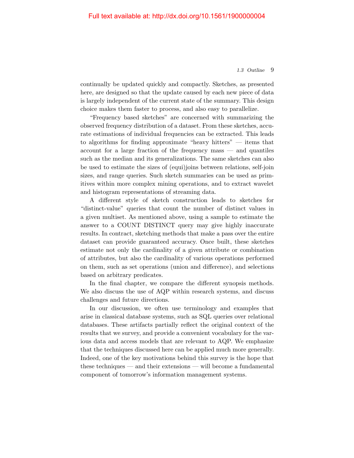#### 1.3 Outline 9

continually be updated quickly and compactly. Sketches, as presented here, are designed so that the update caused by each new piece of data is largely independent of the current state of the summary. This design choice makes them faster to process, and also easy to parallelize.

"Frequency based sketches" are concerned with summarizing the observed frequency distribution of a dataset. From these sketches, accurate estimations of individual frequencies can be extracted. This leads to algorithms for finding approximate "heavy hitters" — items that account for a large fraction of the frequency mass — and quantiles such as the median and its generalizations. The same sketches can also be used to estimate the sizes of (equi)joins between relations, self-join sizes, and range queries. Such sketch summaries can be used as primitives within more complex mining operations, and to extract wavelet and histogram representations of streaming data.

A different style of sketch construction leads to sketches for "distinct-value" queries that count the number of distinct values in a given multiset. As mentioned above, using a sample to estimate the answer to a COUNT DISTINCT query may give highly inaccurate results. In contract, sketching methods that make a pass over the entire dataset can provide guaranteed accuracy. Once built, these sketches estimate not only the cardinality of a given attribute or combination of attributes, but also the cardinality of various operations performed on them, such as set operations (union and difference), and selections based on arbitrary predicates.

In the final chapter, we compare the different synopsis methods. We also discuss the use of AQP within research systems, and discuss challenges and future directions.

In our discussion, we often use terminology and examples that arise in classical database systems, such as SQL queries over relational databases. These artifacts partially reflect the original context of the results that we survey, and provide a convenient vocabulary for the various data and access models that are relevant to AQP. We emphasize that the techniques discussed here can be applied much more generally. Indeed, one of the key motivations behind this survey is the hope that these techniques — and their extensions — will become a fundamental component of tomorrow's information management systems.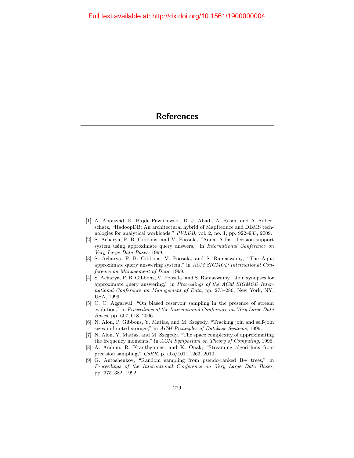- <span id="page-17-0"></span>[1] A. Abouzeid, K. Bajda-Pawlikowski, D. J. Abadi, A. Rasin, and A. Silberschatz, "HadoopDB: An architectural hybrid of MapReduce and DBMS technologies for analytical workloads," PVLDB, vol. 2, no. 1, pp. 922–933, 2009.
- [2] S. Acharya, P. B. Gibbons, and V. Poosala, "Aqua: A fast decision support system using approximate query answers," in International Conference on Very Large Data Bases, 1999.
- [3] S. Acharya, P. B. Gibbons, V. Poosala, and S. Ramaswamy, "The Aqua approximate query answering system," in ACM SIGMOD International Conference on Management of Data, 1999.
- [4] S. Acharya, P. B. Gibbons, V. Poosala, and S. Ramaswamy, "Join synopses for approximate query answering," in Proceedings of the ACM SIGMOD International Conference on Management of Data, pp. 275–286, New York, NY, USA, 1999.
- [5] C. C. Aggarwal, "On biased reservoir sampling in the presence of stream evolution," in Proceedings of the International Conference on Very Large Data Bases, pp. 607–618, 2006.
- [6] N. Alon, P. Gibbons, Y. Matias, and M. Szegedy, "Tracking join and self-join sizes in limited storage," in ACM Principles of Database Systems, 1999.
- [7] N. Alon, Y. Matias, and M. Szegedy, "The space complexity of approximating the frequency moments," in ACM Symposium on Theory of Computing, 1996.
- [8] A. Andoni, R. Krauthgamer, and K. Onak, "Streaming algorithms from precision sampling," CoRR, p. abs/1011.1263, 2010.
- [9] G. Antoshenkov, "Random sampling from pseudo-ranked B+ trees," in Proceedings of the International Conference on Very Large Data Bases, pp. 375–382, 1992.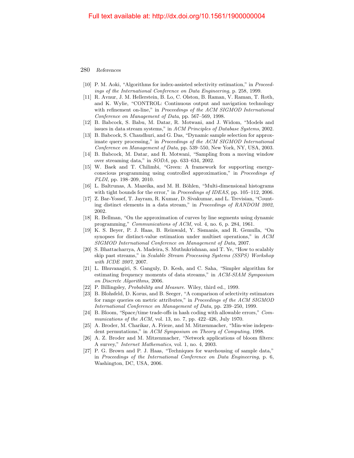- [10] P. M. Aoki, "Algorithms for index-assisted selectivity estimation," in Proceedings of the International Conference on Data Engineering, p. 258, 1999.
- [11] R. Avnur, J. M. Hellerstein, B. Lo, C. Olston, B. Raman, V. Raman, T. Roth, and K. Wylie, "CONTROL: Continuous output and navigation technology with refinement on-line," in *Proceedings of the ACM SIGMOD International* Conference on Management of Data, pp. 567–569, 1998.
- [12] B. Babcock, S. Babu, M. Datar, R. Motwani, and J. Widom, "Models and issues in data stream systems," in ACM Principles of Database Systems, 2002.
- [13] B. Babcock, S. Chaudhuri, and G. Das, "Dynamic sample selection for approximate query processing," in Proceedings of the ACM SIGMOD International Conference on Management of Data, pp. 539–550, New York, NY, USA, 2003.
- [14] B. Babcock, M. Datar, and R. Motwani, "Sampling from a moving window over streaming data," in SODA, pp. 633–634, 2002.
- <span id="page-18-0"></span>[15] W. Baek and T. Chilimbi, "Green: A framework for supporting energyconscious programming using controlled approximation," in Proceedings of PLDI, pp. 198–209, 2010.
- [16] L. Baltrunas, A. Mazeika, and M. H. Böhlen, "Multi-dimensional histograms with tight bounds for the error," in *Proceedings of IDEAS*, pp. 105–112, 2006.
- [17] Z. Bar-Yossef, T. Jayram, R. Kumar, D. Sivakumar, and L. Trevisian, "Counting distinct elements in a data stream," in Proceedings of RANDOM 2002, 2002.
- [18] R. Bellman, "On the approximation of curves by line segments using dynamic programming," Communications of ACM, vol. 4, no. 6, p. 284, 1961.
- [19] K. S. Beyer, P. J. Haas, B. Reinwald, Y. Sismanis, and R. Gemulla, "On synopses for distinct-value estimation under multiset operations," in ACM SIGMOD International Conference on Management of Data, 2007.
- [20] S. Bhattacharrya, A. Madeira, S. Muthukrishnan, and T. Ye, "How to scalably skip past streams," in Scalable Stream Processing Systems (SSPS) Workshop with ICDE 2007, 2007.
- [21] L. Bhuvanagiri, S. Ganguly, D. Kesh, and C. Saha, "Simpler algorithm for estimating frequency moments of data streams," in ACM-SIAM Symposium on Discrete Algorithms, 2006.
- [22] P. Billingsley, *Probability and Measure*. Wiley, third ed., 1999.
- [23] B. Blohsfeld, D. Korus, and B. Seeger, "A comparison of selectivity estimators for range queries on metric attributes," in Proceedings of the ACM SIGMOD International Conference on Management of Data, pp. 239–250, 1999.
- [24] B. Bloom, "Space/time trade-offs in hash coding with allowable errors," Communications of the ACM, vol. 13, no. 7, pp. 422–426, July 1970.
- [25] A. Broder, M. Charikar, A. Frieze, and M. Mitzenmacher, "Min-wise independent permutations," in ACM Symposium on Theory of Computing, 1998.
- [26] A. Z. Broder and M. Mitzenmacher, "Network applications of bloom filters: A survey," Internet Mathematics, vol. 1, no. 4, 2003.
- [27] P. G. Brown and P. J. Haas, "Techniques for warehousing of sample data," in Proceedings of the International Conference on Data Engineering, p. 6, Washington, DC, USA, 2006.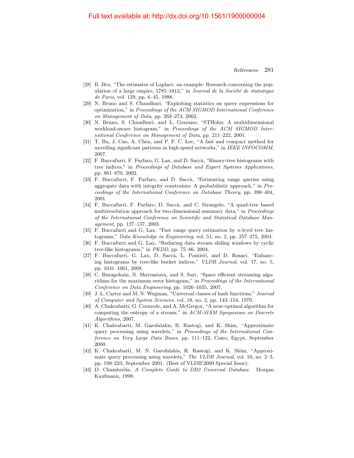- [28] B. Bru, "The estimates of Laplace. an example: Research concerning the population of a large empire,  $1785-1812$ ," in *Journal de la Société de statistique* de Paris, vol. 129, pp. 6–45, 1988.
- [29] N. Bruno and S. Chaudhuri, "Exploiting statistics on query expressions for optimization," in Proceedings of the ACM SIGMOD International Conference on Management of Data, pp. 263–274, 2002.
- [30] N. Bruno, S. Chaudhuri, and L. Gravano, "STHoles: A multidimensional workload-aware histogram," in Proceedings of the ACM SIGMOD International Conference on Management of Data, pp. 211–222, 2001.
- [31] T. Bu, J. Cao, A. Chen, and P. P. C. Lee, "A fast and compact method for unveiling significant patterns in high speed networks," in IEEE INFOCOMM, 2007.
- [32] F. Buccafurri, F. Furfaro, G. Lax, and D. Saccà, "Binary-tree histograms with tree indices," in Proceedings of Database and Expert Systems Applications, pp. 861–870, 2002.
- [33] F. Buccafurri, F. Furfaro, and D. Saccà, "Estimating range queries using aggregate data with integrity constraints: A probabilistic approach," in Proceedings of the International Conference on Database Theory, pp. 390–404, 2001.
- [34] F. Buccafurri, F. Furfaro, D. Saccà, and C. Sirangelo, "A quad-tree based multiresolution approach for two-dimensional summary data," in *Proceedings* of the International Conference on Scientific and Statistical Database Management, pp. 127–137, 2003.
- [35] F. Buccafurri and G. Lax, "Fast range query estimation by n-level tree histograms," Data Knowledge in Engineering, vol. 51, no. 2, pp. 257–275, 2004.
- [36] F. Buccafurri and G. Lax, "Reducing data stream sliding windows by cyclic tree-like histograms," in PKDD, pp. 75–86, 2004.
- [37] F. Buccafurri, G. Lax, D. Saccà, L. Pontieri, and D. Rosaci, "Enhancing histograms by tree-like bucket indices," VLDB Journal, vol. 17, no. 5, pp. 1041–1061, 2008.
- [38] C. Buragohain, N. Shrivastava, and S. Suri, "Space efficient streaming algorithms for the maximum error histogram," in Proceedings of the International Conference on Data Engineering, pp. 1026–1035, 2007.
- [39] J. L. Carter and M. N. Wegman, "Universal classes of hash functions," Journal of Computer and System Sciences, vol. 18, no. 2, pp. 143–154, 1979.
- [40] A. Chakrabarti, G. Cormode, and A. McGregor, "A near-optimal algorithm for computing the entropy of a stream," in ACM-SIAM Symposium on Discrete Algorithms, 2007.
- [41] K. Chakrabarti, M. Garofalakis, R. Rastogi, and K. Shim, "Approximate query processing using wavelets," in Proceedings of the International Conference on Very Large Data Bases, pp. 111–122, Cairo, Egypt, September 2000.
- [42] K. Chakrabarti, M. N. Garofalakis, R. Rastogi, and K. Shim, "Approximate query processing using wavelets," The VLDB Journal, vol. 10, no. 2–3, pp. 199–223, September 2001. (Best of VLDB'2000 Special Issue).
- [43] D. Chamberlin, A Complete Guide to DB2 Universal Database. Morgan Kaufmann, 1998.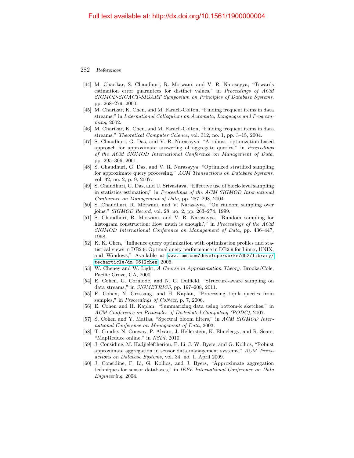- [44] M. Charikar, S. Chaudhuri, R. Motwani, and V. R. Narasayya, "Towards estimation error guarantees for distinct values," in Proceedings of ACM SIGMOD-SIGACT-SIGART Symposium on Principles of Database Systems, pp. 268–279, 2000.
- [45] M. Charikar, K. Chen, and M. Farach-Colton, "Finding frequent items in data streams," in International Colloquium on Automata, Languages and Programming, 2002.
- [46] M. Charikar, K. Chen, and M. Farach-Colton, "Finding frequent items in data streams," Theoretical Computer Science, vol. 312, no. 1, pp. 3–15, 2004.
- [47] S. Chaudhuri, G. Das, and V. R. Narasayya, "A robust, optimization-based approach for approximate answering of aggregate queries," in Proceedings of the ACM SIGMOD International Conference on Management of Data, pp. 295–306, 2001.
- [48] S. Chaudhuri, G. Das, and V. R. Narasayya, "Optimized stratified sampling for approximate query processing," ACM Transactions on Database Systems, vol. 32, no. 2, p. 9, 2007.
- [49] S. Chaudhuri, G. Das, and U. Srivastava, "Effective use of block-level sampling in statistics estimation," in Proceedings of the ACM SIGMOD International Conference on Management of Data, pp. 287–298, 2004.
- [50] S. Chaudhuri, R. Motwani, and V. Narasayya, "On random sampling over joins," SIGMOD Record, vol. 28, no. 2, pp. 263–274, 1999.
- [51] S. Chaudhuri, R. Motwani, and V. R. Narasayya, "Random sampling for histogram construction: How much is enough?," in *Proceedings of the ACM* SIGMOD International Conference on Management of Data, pp. 436–447, 1998.
- [52] K. K. Chen, "Influence query optimization with optimization profiles and statistical views in DB2 9: Optimal query performance in DB2 9 for Linux, UNIX, and Windows," Available at [www.ibm.com/developerworks/db2/library/](www.ibm.com/developerworks/db2/library/techarticle/dm-0612chen) [techarticle/dm-0612chen](www.ibm.com/developerworks/db2/library/techarticle/dm-0612chen), 2006.
- [53] W. Cheney and W. Light, A Course in Approximation Theory. Brooks/Cole, Pacific Grove, CA, 2000.
- [54] E. Cohen, G. Cormode, and N. G. Duffield, "Structure-aware sampling on data streams," in SIGMETRICS, pp. 197–208, 2011.
- [55] E. Cohen, N. Grossaug, and H. Kaplan, "Processing top-k queries from samples," in *Proceedings of CoNext*, p. 7, 2006.
- [56] E. Cohen and H. Kaplan, "Summarizing data using bottom-k sketches," in ACM Conference on Principles of Distributed Computing (PODC), 2007.
- [57] S. Cohen and Y. Matias, "Spectral bloom filters," in ACM SIGMOD International Conference on Management of Data, 2003.
- [58] T. Condie, N. Conway, P. Alvaro, J. Hellerstein, K. Elmeleegy, and R. Sears, "MapReduce online," in NSDI, 2010.
- [59] J. Considine, M. Hadjieleftheriou, F. Li, J. W. Byers, and G. Kollios, "Robust approximate aggregation in sensor data management systems," ACM Transactions on Database Systems, vol. 34, no. 1, April 2009.
- [60] J. Considine, F. Li, G. Kollios, and J. Byers, "Approximate aggregation techniques for sensor databases," in IEEE International Conference on Data Engineering, 2004.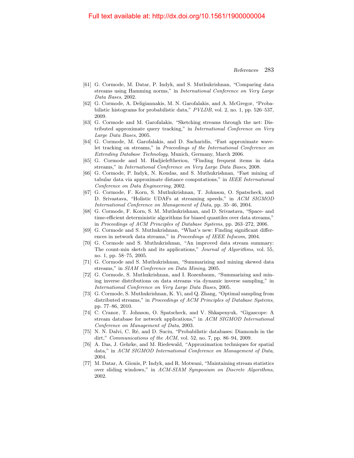- [61] G. Cormode, M. Datar, P. Indyk, and S. Muthukrishnan, "Comparing data streams using Hamming norms," in International Conference on Very Large Data Bases, 2002.
- [62] G. Cormode, A. Deligiannakis, M. N. Garofalakis, and A. McGregor, "Probabilistic histograms for probabilistic data," PVLDB, vol. 2, no. 1, pp. 526–537, 2009.
- [63] G. Cormode and M. Garofalakis, "Sketching streams through the net: Distributed approximate query tracking," in International Conference on Very Large Data Bases, 2005.
- [64] G. Cormode, M. Garofalakis, and D. Sacharidis, "Fast approximate wavelet tracking on streams," in Proceedings of the International Conference on Extending Database Technology, Munich, Germany, March 2006.
- [65] G. Cormode and M. Hadjieleftheriou, "Finding frequent items in data streams," in International Conference on Very Large Data Bases, 2008.
- [66] G. Cormode, P. Indyk, N. Koudas, and S. Muthukrishnan, "Fast mining of tabular data via approximate distance computations," in IEEE International Conference on Data Engineering, 2002.
- [67] G. Cormode, F. Korn, S. Muthukrishnan, T. Johnson, O. Spatscheck, and D. Srivastava, "Holistic UDAFs at streaming speeds," in ACM SIGMOD International Conference on Management of Data, pp. 35–46, 2004.
- [68] G. Cormode, F. Korn, S. M. Muthukrishnan, and D. Srivastava, "Space- and time-efficient deterministic algorithms for biased quantiles over data streams," in Proceedings of ACM Principles of Database Systems, pp. 263–272, 2006.
- [69] G. Cormode and S. Muthukrishnan, "What's new: Finding significant differences in network data streams," in Proceedings of IEEE Infocom, 2004.
- [70] G. Cormode and S. Muthukrishnan, "An improved data stream summary: The count-min sketch and its applications," Journal of Algorithms, vol. 55, no. 1, pp. 58–75, 2005.
- [71] G. Cormode and S. Muthukrishnan, "Summarizing and mining skewed data streams," in SIAM Conference on Data Mining, 2005.
- [72] G. Cormode, S. Muthukrishnan, and I. Rozenbaum, "Summarizing and mining inverse distributions on data streams via dynamic inverse sampling," in International Conference on Very Large Data Bases, 2005.
- [73] G. Cormode, S. Muthukrishnan, K. Yi, and Q. Zhang, "Optimal sampling from distributed streams," in Proceedings of ACM Principles of Database Systems, pp. 77–86, 2010.
- [74] C. Cranor, T. Johnson, O. Spatscheck, and V. Shkapenyuk, "Gigascope: A stream database for network applications," in ACM SIGMOD International Conference on Management of Data, 2003.
- [75] N. N. Dalvi, C. Ré, and D. Suciu, "Probabilistic databases: Diamonds in the dirt," Communications of the ACM, vol. 52, no. 7, pp. 86–94, 2009.
- [76] A. Das, J. Gehrke, and M. Riedewald, "Approximation techniques for spatial data," in ACM SIGMOD International Conference on Management of Data, 2004.
- [77] M. Datar, A. Gionis, P. Indyk, and R. Motwani, "Maintaining stream statistics over sliding windows," in ACM-SIAM Symposium on Discrete Algorithms, 2002.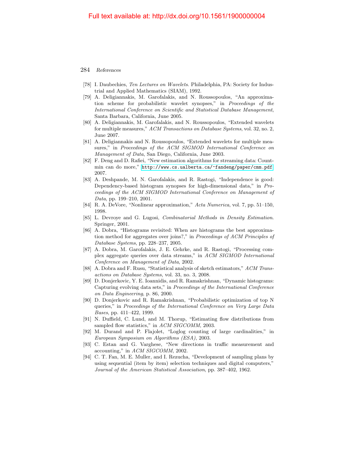- [78] I. Daubechies, Ten Lectures on Wavelets. Philadelphia, PA: Society for Industrial and Applied Mathematics (SIAM), 1992.
- [79] A. Deligiannakis, M. Garofalakis, and N. Roussopoulos, "An approximation scheme for probabilistic wavelet synopses," in Proceedings of the International Conference on Scientific and Statistical Database Management, Santa Barbara, California, June 2005.
- [80] A. Deligiannakis, M. Garofalakis, and N. Roussopoulos, "Extended wavelets for multiple measures," ACM Transactions on Database Systems, vol. 32, no. 2, June 2007.
- [81] A. Deligiannakis and N. Roussopoulos, "Extended wavelets for multiple measures," in Proceedings of the ACM SIGMOD International Conference on Management of Data, San Diego, California, June 2003.
- [82] F. Deng and D. Rafiei, "New estimation algorithms for streaming data: Countmin can do more," <http://www.cs.ualberta.ca/~fandeng/paper/cmm.pdf>, 2007.
- [83] A. Deshpande, M. N. Garofalakis, and R. Rastogi, "Independence is good: Dependency-based histogram synopses for high-dimensional data," in Proceedings of the ACM SIGMOD International Conference on Management of Data, pp. 199–210, 2001.
- [84] R. A. DeVore, "Nonlinear approximation," Acta Numerica, vol. 7, pp. 51–150, 1998.
- [85] L. Devroye and G. Lugosi, Combinatorial Methods in Density Estimation. Springer, 2001.
- [86] A. Dobra, "Histograms revisited: When are histograms the best approximation method for aggregates over joins?," in Proceedings of ACM Principles of Database Systems, pp. 228–237, 2005.
- [87] A. Dobra, M. Garofalakis, J. E. Gehrke, and R. Rastogi, "Processing complex aggregate queries over data streams," in ACM SIGMOD International Conference on Management of Data, 2002.
- [88] A. Dobra and F. Rusu, "Statistical analysis of sketch estimators," ACM Transactions on Database Systems, vol. 33, no. 3, 2008.
- [89] D. Donjerkovic, Y. E. Ioannidis, and R. Ramakrishnan, "Dynamic histograms: Capturing evolving data sets," in Proceedings of the International Conference on Data Engineering, p. 86, 2000.
- [90] D. Donjerkovic and R. Ramakrishnan, "Probabilistic optimization of top N queries," in Proceedings of the International Conference on Very Large Data Bases, pp. 411–422, 1999.
- [91] N. Duffield, C. Lund, and M. Thorup, "Estimating flow distributions from sampled flow statistics," in ACM SIGCOMM, 2003.
- [92] M. Durand and P. Flajolet, "Loglog counting of large cardinalities," in European Symposium on Algorithms (ESA), 2003.
- [93] C. Estan and G. Varghese, "New directions in traffic measurement and accounting," in ACM SIGCOMM, 2002.
- [94] C. T. Fan, M. E. Muller, and I. Rezucha, "Development of sampling plans by using sequential (item by item) selection techniques and digital computers," Journal of the American Statistical Association, pp. 387–402, 1962.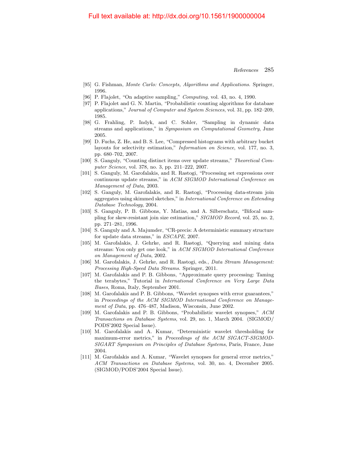- [95] G. Fishman, Monte Carlo: Concepts, Algorithms and Applications. Springer, 1996.
- [96] P. Flajolet, "On adaptive sampling," Computing, vol. 43, no. 4, 1990.
- [97] P. Flajolet and G. N. Martin, "Probabilistic counting algorithms for database applications," Journal of Computer and System Sciences, vol. 31, pp. 182–209, 1985.
- [98] G. Frahling, P. Indyk, and C. Sohler, "Sampling in dynamic data streams and applications," in Symposium on Computational Geometry, June 2005.
- [99] D. Fuchs, Z. He, and B. S. Lee, "Compressed histograms with arbitrary bucket layouts for selectivity estimation," Information on Science, vol. 177, no. 3, pp. 680–702, 2007.
- [100] S. Ganguly, "Counting distinct items over update streams," Theoretical Computer Science, vol. 378, no. 3, pp. 211–222, 2007.
- [101] S. Ganguly, M. Garofalakis, and R. Rastogi, "Processing set expressions over continuous update streams," in ACM SIGMOD International Conference on Management of Data, 2003.
- [102] S. Ganguly, M. Garofalakis, and R. Rastogi, "Processing data-stream join aggregates using skimmed sketches," in International Conference on Extending Database Technology, 2004.
- [103] S. Ganguly, P. B. Gibbons, Y. Matias, and A. Silberschatz, "Bifocal sampling for skew-resistant join size estimation," SIGMOD Record, vol. 25, no. 2, pp. 271–281, 1996.
- [104] S. Ganguly and A. Majumder, "CR-precis: A deterministic summary structure for update data streams," in ESCAPE, 2007.
- [105] M. Garofalakis, J. Gehrke, and R. Rastogi, "Querying and mining data streams: You only get one look," in ACM SIGMOD International Conference on Management of Data, 2002.
- [106] M. Garofalakis, J. Gehrke, and R. Rastogi, eds., Data Stream Management: Processing High-Speed Data Streams. Springer, 2011.
- [107] M. Garofalakis and P. B. Gibbons, "Approximate query processing: Taming the terabytes," Tutorial in International Conference on Very Large Data Bases, Roma, Italy, September 2001.
- [108] M. Garofalakis and P. B. Gibbons, "Wavelet synopses with error guarantees," in Proceedings of the ACM SIGMOD International Conference on Management of Data, pp. 476–487, Madison, Wisconsin, June 2002.
- [109] M. Garofalakis and P. B. Gibbons, "Probabilistic wavelet synopses," ACM Transactions on Database Systems, vol. 29, no. 1, March 2004. (SIGMOD/ PODS'2002 Special Issue).
- [110] M. Garofalakis and A. Kumar, "Deterministic wavelet thresholding for maximum-error metrics," in Proceedings of the ACM SIGACT-SIGMOD-SIGART Symposium on Principles of Database Systems, Paris, France, June 2004.
- [111] M. Garofalakis and A. Kumar, "Wavelet synopses for general error metrics," ACM Transactions on Database Systems, vol. 30, no. 4, December 2005. (SIGMOD/PODS'2004 Special Issue).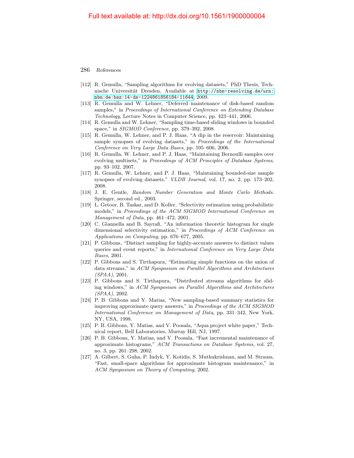- [112] R. Gemulla, "Sampling algorithms for evolving datasets," PhD Thesis, Technische Universität Dresden, Available at [http://nbn-resolving.de/urn:](http://nbn-resolving.de/urn:nbn:de:bsz:14-ds-1224861856184-11644) [nbn:de:bsz:14-ds-1224861856184-11644](http://nbn-resolving.de/urn:nbn:de:bsz:14-ds-1224861856184-11644), 2009.
- [113] R. Gemulla and W. Lehner, "Deferred maintenance of disk-based random samples," in Proceedings of International Conference on Extending Database Technology, Lecture Notes in Computer Science, pp. 423–441, 2006.
- [114] R. Gemulla and W. Lehner, "Sampling time-based sliding windows in bounded space," in *SIGMOD Conference*, pp. 379–392, 2008.
- [115] R. Gemulla, W. Lehner, and P. J. Haas, "A dip in the reservoir: Maintaining sample synopses of evolving datasets," in *Proceedings of the International* Conference on Very Large Data Bases, pp. 595–606, 2006.
- [116] R. Gemulla, W. Lehner, and P. J. Haas, "Maintaining Bernoulli samples over evolving multisets," in Proceedings of ACM Principles of Database Systems, pp. 93–102, 2007.
- [117] R. Gemulla, W. Lehner, and P. J. Haas, "Maintaining bounded-size sample synopses of evolving datasets," VLDB Journal, vol. 17, no. 2, pp. 173–202, 2008.
- [118] J. E. Gentle, Random Number Generation and Monte Carlo Methods. Springer, second ed., 2003.
- [119] L. Getoor, B. Taskar, and D. Koller, "Selectivity estimation using probabilistic models," in Proceedings of the ACM SIGMOD International Conference on Management of Data, pp. 461–472, 2001.
- [120] C. Giannella and B. Sayrafi, "An information theoretic histogram for single dimensional selectivity estimation," in Proceedings of ACM Conference on Applications on Computing, pp. 676–677, 2005.
- [121] P. Gibbons, "Distinct sampling for highly-accurate answers to distinct values queries and event reports," in International Conference on Very Large Data Bases, 2001.
- [122] P. Gibbons and S. Tirthapura, "Estimating simple functions on the union of data streams," in ACM Symposium on Parallel Algorithms and Architectures (SPAA), 2001.
- [123] P. Gibbons and S. Tirthapura, "Distributed streams algorithms for sliding windows," in ACM Symposium on Parallel Algorithms and Architectures (SPAA), 2002.
- [124] P. B. Gibbons and Y. Matias, "New sampling-based summary statistics for improving approximate query answers," in Proceedings of the ACM SIGMOD International Conference on Management of Data, pp. 331–342, New York, NY, USA, 1998.
- [125] P. B. Gibbons, Y. Matias, and V. Poosala, "Aqua project white paper," Technical report, Bell Laboratories, Murray Hill, NJ, 1997.
- [126] P. B. Gibbons, Y. Matias, and V. Poosala, "Fast incremental maintenance of approximate histograms," ACM Transactions on Database Systems, vol. 27, no. 3, pp. 261–298, 2002.
- [127] A. Gilbert, S. Guha, P. Indyk, Y. Kotidis, S. Muthukrishnan, and M. Strauss, "Fast, small-space algorithms for approximate histogram maintenance," in ACM Symposium on Theory of Computing, 2002.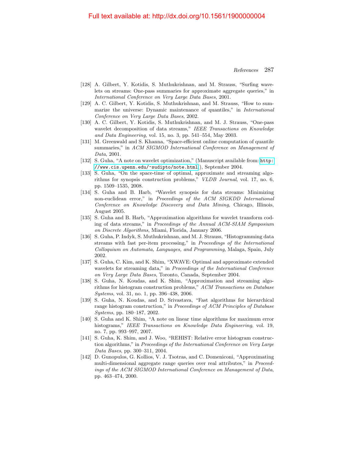- [128] A. Gilbert, Y. Kotidis, S. Muthukrishnan, and M. Strauss, "Surfing wavelets on streams: One-pass summaries for approximate aggregate queries," in International Conference on Very Large Data Bases, 2001.
- [129] A. C. Gilbert, Y. Kotidis, S. Muthukrishnan, and M. Strauss, "How to summarize the universe: Dynamic maintenance of quantiles," in International Conference on Very Large Data Bases, 2002.
- [130] A. C. Gilbert, Y. Kotidis, S. Muthukrishnan, and M. J. Strauss, "One-pass wavelet decomposition of data streams," IEEE Transactions on Knowledge and Data Engineering, vol. 15, no. 3, pp. 541–554, May 2003.
- [131] M. Greenwald and S. Khanna, "Space-efficient online computation of quantile summaries," in ACM SIGMOD International Conference on Management of Data, 2001.
- [132] S. Guha, "A note on wavelet optimization," (Manuscript available from: [http:](http://www.cis.upenn.edu/~sudipto/note.html) [//www.cis.upenn.edu/~sudipto/note.html](http://www.cis.upenn.edu/~sudipto/note.html).), September 2004.
- [133] S. Guha, "On the space-time of optimal, approximate and streaming algorithms for synopsis construction problems," VLDB Journal, vol. 17, no. 6, pp. 1509–1535, 2008.
- [134] S. Guha and B. Harb, "Wavelet synopsis for data streams: Minimizing non-euclidean error," in Proceedings of the ACM SIGKDD International Conference on Knowledge Discovery and Data Mining, Chicago, Illinois, August 2005.
- [135] S. Guha and B. Harb, "Approximation algorithms for wavelet transform coding of data streams," in Proceedings of the Annual ACM-SIAM Symposium on Discrete Algorithms, Miami, Florida, January 2006.
- [136] S. Guha, P. Indyk, S. Muthukrishnan, and M. J. Strauss, "Histogramming data streams with fast per-item processing," in Proceedings of the International Colloquium on Automata, Languages, and Programming, Malaga, Spain, July 2002.
- [137] S. Guha, C. Kim, and K. Shim, "XWAVE: Optimal and approximate extended wavelets for streaming data," in Proceedings of the International Conference on Very Large Data Bases, Toronto, Canada, September 2004.
- [138] S. Guha, N. Koudas, and K. Shim, "Approximation and streaming algorithms for histogram construction problems," ACM Transactions on Database Systems, vol. 31, no. 1, pp. 396–438, 2006.
- [139] S. Guha, N. Koudas, and D. Srivastava, "Fast algorithms for hierarchical range histogram construction," in Proceedings of ACM Principles of Database Systems, pp. 180–187, 2002.
- [140] S. Guha and K. Shim, "A note on linear time algorithms for maximum error histograms," IEEE Transactions on Knowledge Data Engineering, vol. 19, no. 7, pp. 993–997, 2007.
- [141] S. Guha, K. Shim, and J. Woo, "REHIST: Relative error histogram construction algorithms," in Proceedings of the International Conference on Very Large Data Bases, pp. 300–311, 2004.
- [142] D. Gunopulos, G. Kollios, V. J. Tsotras, and C. Domeniconi, "Approximating multi-dimensional aggregate range queries over real attributes," in *Proceed*ings of the ACM SIGMOD International Conference on Management of Data, pp. 463–474, 2000.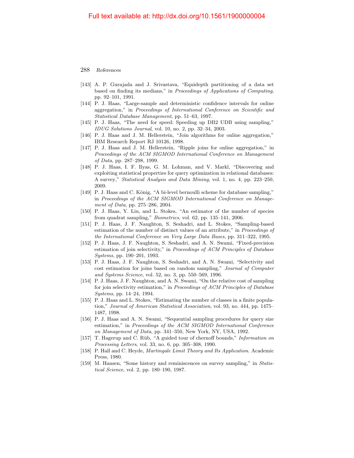- [143] A. P. Gurajada and J. Srivastava, "Equidepth partitioning of a data set based on finding its medians," in Proceedings of Applications of Computing, pp. 92–101, 1991.
- [144] P. J. Haas, "Large-sample and deterministic confidence intervals for online aggregation," in Proceedings of International Conference on Scientific and Statistical Database Management, pp. 51–63, 1997.
- [145] P. J. Haas, "The need for speed: Speeding up DB2 UDB using sampling," IDUG Solutions Journal, vol. 10, no. 2, pp. 32–34, 2003.
- [146] P. J. Haas and J. M. Hellerstein, "Join algorithms for online aggregation," IBM Research Report RJ 10126, 1998.
- [147] P. J. Haas and J. M. Hellerstein, "Ripple joins for online aggregation," in Proceedings of the ACM SIGMOD International Conference on Management of Data, pp. 287–298, 1999.
- [148] P. J. Haas, I. F. Ilyas, G. M. Lohman, and V. Markl, "Discovering and exploiting statistical properties for query optimization in relational databases: A survey," Statistical Analysis and Data Mining, vol. 1, no. 4, pp. 223–250, 2009.
- [149] P. J. Haas and C. König, "A bi-level bernoulli scheme for database sampling," in Proceedings of the ACM SIGMOD International Conference on Management of Data, pp. 275–286, 2004.
- [150] P. J. Haas, Y. Liu, and L. Stokes, "An estimator of the number of species from quadrat sampling," Biometrics, vol. 62, pp. 135–141, 2006.
- [151] P. J. Haas, J. F. Naughton, S. Seshadri, and L. Stokes, "Sampling-based estimation of the number of distinct values of an attribute," in Proceedings of the International Conference on Very Large Data Bases, pp. 311–322, 1995.
- [152] P. J. Haas, J. F. Naughton, S. Seshadri, and A. N. Swami, "Fixed-precision estimation of join selectivity," in Proceedings of ACM Principles of Database Systems, pp. 190–201, 1993.
- [153] P. J. Haas, J. F. Naughton, S. Seshadri, and A. N. Swami, "Selectivity and cost estimation for joins based on random sampling," Journal of Computer and Systems Science, vol. 52, no. 3, pp. 550–569, 1996.
- [154] P. J. Haas, J. F. Naughton, and A. N. Swami, "On the relative cost of sampling for join selectivity estimation," in Proceedings of ACM Principles of Database Systems, pp. 14–24, 1994.
- [155] P. J. Haas and L. Stokes, "Estimating the number of classes in a finite population," Journal of American Statistical Association, vol. 93, no. 444, pp. 1475– 1487, 1998.
- [156] P. J. Haas and A. N. Swami, "Sequential sampling procedures for query size estimation," in Proceedings of the ACM SIGMOD International Conference on Management of Data, pp. 341–350, New York, NY, USA, 1992.
- [157] T. Hagerup and C. Rüb, "A guided tour of chernoff bounds," *Information on* Processing Letters, vol. 33, no. 6, pp. 305–308, 1990.
- [158] P. Hall and C. Heyde, Martingale Limit Theory and Its Application. Academic Press, 1980.
- [159] M. Hansen, "Some history and reminiscences on survey sampling," in Statistical Science, vol. 2, pp. 180–190, 1987.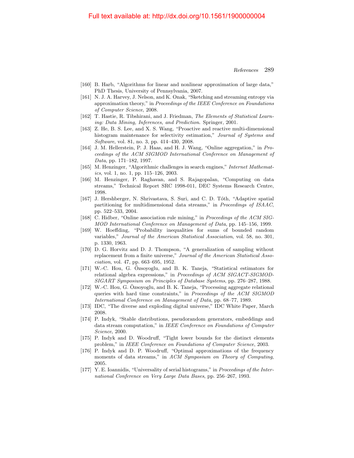- [160] B. Harb, "Algorithms for linear and nonlinear approximation of large data," PhD Thesis, University of Pennsylvania, 2007.
- [161] N. J. A. Harvey, J. Nelson, and K. Onak, "Sketching and streaming entropy via approximation theory," in Proceedings of the IEEE Conference on Foundations of Computer Science, 2008.
- [162] T. Hastie, R. Tibshirani, and J. Friedman, The Elements of Statistical Learning: Data Mining, Inferences, and Prediction. Springer, 2001.
- [163] Z. He, B. S. Lee, and X. S. Wang, "Proactive and reactive multi-dimensional histogram maintenance for selectivity estimation," Journal of Systems and Software, vol. 81, no. 3, pp. 414–430, 2008.
- [164] J. M. Hellerstein, P. J. Haas, and H. J. Wang, "Online aggregation," in Proceedings of the ACM SIGMOD International Conference on Management of Data, pp. 171–182, 1997.
- [165] M. Henzinger, "Algorithmic challenges in search engines," Internet Mathematics, vol. 1, no. 1, pp. 115–126, 2003.
- [166] M. Henzinger, P. Raghavan, and S. Rajagopalan, "Computing on data streams," Technical Report SRC 1998-011, DEC Systems Research Centre, 1998.
- [167] J. Hershberger, N. Shrivastava, S. Suri, and C. D. Tóth, "Adaptive spatial partitioning for multidimensional data streams," in Proceedings of ISAAC, pp. 522–533, 2004.
- [168] C. Hidber, "Online association rule mining," in Proceedings of the ACM SIG-MOD International Conference on Management of Data, pp. 145–156, 1999.
- [169] W. Hoeffding, "Probability inequalities for sums of bounded random variables," Journal of the American Statistical Association, vol. 58, no. 301, p. 1330, 1963.
- [170] D. G. Horvitz and D. J. Thompson, "A generalization of sampling without replacement from a finite universe," Journal of the American Statistical Association, vol. 47, pp. 663–695, 1952.
- [171] W.-C. Hou, G. Ozsoyoglu, and B. K. Taneja, "Statistical estimators for ¨ relational algebra expressions," in Proceedings of ACM SIGACT-SIGMOD-SIGART Symposium on Principles of Database Systems, pp. 276–287, 1988.
- [172] W.-C. Hou, G. Özsoyoglu, and B. K. Taneja, "Processing aggregate relational queries with hard time constraints," in Proceedings of the ACM SIGMOD International Conference on Management of Data, pp. 68–77, 1989.
- <span id="page-27-0"></span>[173] IDC, "The diverse and exploding digital universe," IDC White Paper, March 2008.
- [174] P. Indyk, "Stable distributions, pseudorandom generators, embeddings and data stream computation," in IEEE Conference on Foundations of Computer Science, 2000.
- [175] P. Indyk and D. Woodruff, "Tight lower bounds for the distinct elements problem," in IEEE Conference on Foundations of Computer Science, 2003.
- [176] P. Indyk and D. P. Woodruff, "Optimal approximations of the frequency moments of data streams," in ACM Symposium on Theory of Computing, 2005.
- [177] Y. E. Ioannidis, "Universality of serial histograms," in Proceedings of the International Conference on Very Large Data Bases, pp. 256–267, 1993.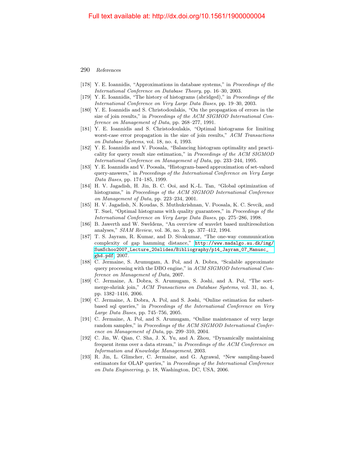- [178] Y. E. Ioannidis, "Approximations in database systems," in Proceedings of the International Conference on Database Theory, pp. 16–30, 2003.
- [179] Y. E. Ioannidis, "The history of histograms (abridged)," in Proceedings of the International Conference on Very Large Data Bases, pp. 19–30, 2003.
- [180] Y. E. Ioannidis and S. Christodoulakis, "On the propagation of errors in the size of join results," in Proceedings of the ACM SIGMOD International Conference on Management of Data, pp. 268–277, 1991.
- [181] Y. E. Ioannidis and S. Christodoulakis, "Optimal histograms for limiting worst-case error propagation in the size of join results," ACM Transactions on Database Systems, vol. 18, no. 4, 1993.
- [182] Y. E. Ioannidis and V. Poosala, "Balancing histogram optimality and practicality for query result size estimation," in Proceedings of the ACM SIGMOD International Conference on Management of Data, pp. 233–244, 1995.
- [183] Y. E. Ioannidis and V. Poosala, "Histogram-based approximation of set-valued query-answers," in Proceedings of the International Conference on Very Large Data Bases, pp. 174–185, 1999.
- [184] H. V. Jagadish, H. Jin, B. C. Ooi, and K.-L. Tan, "Global optimization of histograms," in Proceedings of the ACM SIGMOD International Conference on Management of Data, pp. 223–234, 2001.
- [185] H. V. Jagadish, N. Koudas, S. Muthukrishnan, V. Poosala, K. C. Sevcik, and T. Suel, "Optimal histograms with quality guarantees," in Proceedings of the International Conference on Very Large Data Bases, pp. 275–286, 1998.
- [186] B. Jawerth and W. Sweldens, "An overview of wavelet based multiresolution analyses," SIAM Review, vol. 36, no. 3, pp. 377–412, 1994.
- [187] T. S. Jayram, R. Kumar, and D. Sivakumar, "The one-way communication complexity of gap hamming distance," [http://www.madalgo.au.dk/img/](http://www.madalgo.au.dk/img/SumSchoo2007_Lecture_20slides/Bibliography/p14_Jayram_07_Manusc_ghd.pdf) [SumSchoo2007\\_Lecture\\_20slides/Bibliography/p14\\_Jayram\\_07\\_Manusc\\_](http://www.madalgo.au.dk/img/SumSchoo2007_Lecture_20slides/Bibliography/p14_Jayram_07_Manusc_ghd.pdf) [ghd.pdf](http://www.madalgo.au.dk/img/SumSchoo2007_Lecture_20slides/Bibliography/p14_Jayram_07_Manusc_ghd.pdf), 2007.
- [188] C. Jermaine, S. Arumugam, A. Pol, and A. Dobra, "Scalable approximate query processing with the DBO engine," in ACM SIGMOD International Conference on Management of Data, 2007.
- [189] C. Jermaine, A. Dobra, S. Arumugam, S. Joshi, and A. Pol, "The sortmerge-shrink join," ACM Transactions on Database Systems, vol. 31, no. 4, pp. 1382–1416, 2006.
- [190] C. Jermaine, A. Dobra, A. Pol, and S. Joshi, "Online estimation for subsetbased sql queries," in Proceedings of the International Conference on Very Large Data Bases, pp. 745–756, 2005.
- [191] C. Jermaine, A. Pol, and S. Arumugam, "Online maintenance of very large random samples," in Proceedings of the ACM SIGMOD International Conference on Management of Data, pp. 299–310, 2004.
- [192] C. Jin, W. Qian, C. Sha, J. X. Yu, and A. Zhou, "Dynamically maintaining frequent items over a data stream," in Proceedings of the ACM Conference on Information and Knowledge Management, 2003.
- [193] R. Jin, L. Glimcher, C. Jermaine, and G. Agrawal, "New sampling-based estimators for OLAP queries," in Proceedings of the International Conference on Data Engineering, p. 18, Washington, DC, USA, 2006.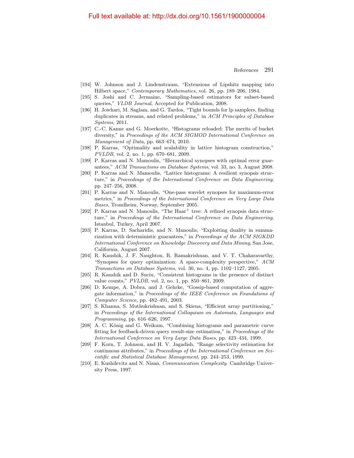- [194] W. Johnson and J. Lindenstrauss, "Extensions of Lipshitz mapping into Hilbert space," Contemporary Mathematics, vol. 26, pp. 189–206, 1984.
- [195] S. Joshi and C. Jermaine, "Sampling-based estimators for subset-based queries," VLDB Journal, Accepted for Publication, 2008.
- [196] H. Jowhari, M. Saglam, and G. Tardos, "Tight bounds for lp samplers, finding duplicates in streams, and related problems," in ACM Principles of Database Systems, 2011.
- [197] C.-C. Kanne and G. Moerkotte, "Histograms reloaded: The merits of bucket diversity," in Proceedings of the ACM SIGMOD International Conference on Management of Data, pp. 663–674, 2010.
- [198] P. Karras, "Optimality and scalability in lattice histogram construction," PVLDB, vol. 2, no. 1, pp. 670–681, 2009.
- [199] P. Karras and N. Mamoulis, "Hierarchical synopses with optimal error guarantees," ACM Transactions on Database Systems, vol. 33, no. 3, August 2008.
- [200] P. Karras and N. Mamoulis, "Lattice histograms: A resilient synopsis structure," in Proceedings of the International Conference on Data Engineering, pp. 247–256, 2008.
- [201] P. Karras and N. Manoulis, "One-pass wavelet synopses for maximum-error metrics," in Proceedings of the International Conference on Very Large Data Bases, Trondheim, Norway, September 2005.
- $[202]$  P. Karras and N. Manoulis, "The Haar<sup>+</sup> tree: A refined synopsis data structure," in Proceedings of the International Conference on Data Engineering, Istanbul, Turkey, April 2007.
- [203] P. Karras, D. Sacharidis, and N. Manoulis, "Exploiting duality in summarization with deterministic guarantees," in Proceedings of the ACM SIGKDD International Conference on Knowledge Discovery and Data Mining, San Jose, California, August 2007.
- [204] R. Kaushik, J. F. Naughton, R. Ramakrishnan, and V. T. Chakaravarthy, "Synopses for query optimization: A space-complexity perspective," ACM Transactions on Database Systems, vol. 30, no. 4, pp. 1102–1127, 2005.
- [205] R. Kaushik and D. Suciu, "Consistent histograms in the presence of distinct value counts," PVLDB, vol. 2, no. 1, pp. 850–861, 2009.
- [206] D. Kempe, A. Dobra, and J. Gehrke, "Gossip-based computation of aggregate information," in Proceedings of the IEEE Conference on Foundations of Computer Science, pp. 482–491, 2003.
- [207] S. Khanna, S. Muthukrishnan, and S. Skiena, "Efficient array partitioning," in Proceedings of the International Colloquium on Automata, Languages and Programming, pp. 616–626, 1997.
- [208] A. C. König and G. Weikum, "Combining histograms and parametric curve fitting for feedback-driven query result-size estimation," in Proceedings of the International Conference on Very Large Data Bases, pp. 423–434, 1999.
- [209] F. Korn, T. Johnson, and H. V. Jagadish, "Range selectivity estimation for continuous attributes," in Proceedings of the International Conference on Scientific and Statistical Database Management, pp. 244–253, 1999.
- [210] E. Kushilevitz and N. Nisan, Communication Complexity. Cambridge University Press, 1997.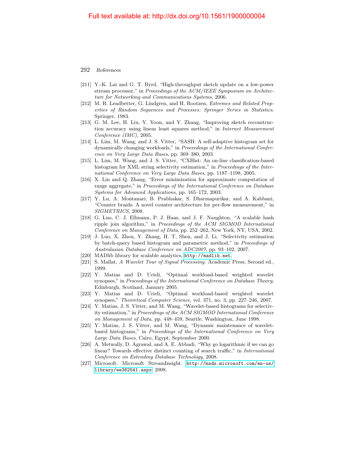- [211] Y.-K. Lai and G. T. Byrd, "High-throughput sketch update on a low-power stream processor," in Proceedings of the ACM/IEEE Symposium on Architecture for Networking and Communications Systems, 2006.
- [212] M. R. Leadbetter, G. Lindgren, and H. Rootzen, Extremes and Related Properties of Random Sequences and Processes: Springer Series in Statistics. Springer, 1983.
- [213] G. M. Lee, H. Liu, Y. Yoon, and Y. Zhang, "Improving sketch reconstruction accuracy using linear least squares method," in Internet Measurement Conference (IMC), 2005.
- [214] L. Lim, M. Wang, and J. S. Vitter, "SASH: A self-adaptive histogram set for dynamically changing workloads," in Proceedings of the International Conference on Very Large Data Bases, pp. 369–380, 2003.
- [215] L. Lim, M. Wang, and J. S. Vitter, "CXHist: An on-line classification-based histogram for XML string selectivity estimation," in Proceedings of the International Conference on Very Large Data Bases, pp. 1187–1198, 2005.
- [216] X. Lin and Q. Zhang, "Error minimization for approximate computation of range aggregate," in Proceedings of the International Conference on Database Systems for Advanced Applications, pp. 165–172, 2003.
- [217] Y. Lu, A. Montanari, B. Prabhakar, S. Dharmapurikar, and A. Kabbani, "Counter braids: A novel counter architecture for per-flow measurement," in SIGMETRICS, 2008.
- [218] G. Luo, C. J. Ellmann, P. J. Haas, and J. F. Naughton, "A scalable hash ripple join algorithm," in Proceedings of the ACM SIGMOD International Conference on Management of Data, pp. 252–262, New York, NY, USA, 2002.
- [219] J. Luo, X. Zhou, Y. Zhang, H. T. Shen, and J. Li, "Selectivity estimation by batch-query based histogram and parametric method," in Proceedings of Australasian Database Conference on ADC2007, pp. 93–102, 2007.
- [220] MADlib library for scalable analytics, <http://madlib.net>.
- [221] S. Mallat, A Wavelet Tour of Signal Processing. Academic Press, Second ed., 1999.
- [222] Y. Matias and D. Urieli, "Optimal workload-based weighted wavelet synopses," in Proceedings of the International Conference on Database Theory, Edinburgh, Scotland, January 2005.
- [223] Y. Matias and D. Urieli, "Optimal workload-based weighted wavelet synopses," Theoretical Computer Science, vol. 371, no. 3, pp. 227–246, 2007.
- [224] Y. Matias, J. S. Vitter, and M. Wang, "Wavelet-based histograms for selectivity estimation," in Proceedings of the ACM SIGMOD International Conference on Management of Data, pp. 448–459, Seattle, Washington, June 1998.
- [225] Y. Matias, J. S. Vitter, and M. Wang, "Dynamic maintenance of waveletbased histograms," in Proceedings of the International Conference on Very Large Data Bases, Cairo, Egypt, September 2000.
- [226] A. Metwally, D. Agrawal, and A. E. Abbadi, "Why go logarithmic if we can go linear? Towards effective distinct counting of search traffic," in International Conference on Extending Database Technology, 2008.
- [227] Microsoft. Microsoft StreamInsight. [http://msdn.microsoft.com/en-us/](http://msdn.microsoft.com/en-us/library/ee362541.aspx) [library/ee362541.aspx](http://msdn.microsoft.com/en-us/library/ee362541.aspx), 2008.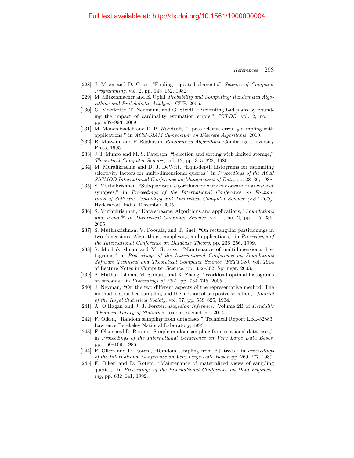- [228] J. Misra and D. Gries, "Finding repeated elements," Science of Computer Programming, vol. 2, pp. 143–152, 1982.
- [229] M. Mitzenmacher and E. Upfal, Probability and Computing: Randomized Algorithms and Probabilistic Analysis. CUP, 2005.
- [230] G. Moerkotte, T. Neumann, and G. Steidl, "Preventing bad plans by bounding the impact of cardinality estimation errors," PVLDB, vol. 2, no. 1, pp. 982–993, 2009.
- [231] M. Monemizadeh and D. P. Woodruff, "1-pass relative-error  $l_p$ -sampling with applications," in ACM-SIAM Symposium on Discrete Algorithms, 2010.
- [232] R. Motwani and P. Raghavan, Randomized Algorithms. Cambridge University Press, 1995.
- [233] J. I. Munro and M. S. Paterson, "Selection and sorting with limited storage," Theoretical Computer Science, vol. 12, pp. 315–323, 1980.
- [234] M. Muralikrishna and D. J. DeWitt, "Equi-depth histograms for estimating selectivity factors for multi-dimensional queries," in Proceedings of the ACM SIGMOD International Conference on Management of Data, pp. 28–36, 1988.
- [235] S. Muthukrishnan, "Subquadratic algorithms for workload-aware Haar wavelet synopses," in Proceedings of the International Conference on Foundations of Software Technology and Theoretical Computer Science (FSTTCS), Hyderabad, India, December 2005.
- [236] S. Muthukrishnan, "Data streams: Algorithms and applications," Foundations and Trends<sup>®</sup> in Theoretical Computer Science, vol. 1, no. 2, pp. 117–236, 2005.
- [237] S. Muthukrishnan, V. Poosala, and T. Suel, "On rectangular partitionings in two dimensions: Algorithms, complexity, and applications," in Proceedings of the International Conference on Database Theory, pp. 236–256, 1999.
- [238] S. Muthukrishnan and M. Strauss, "Maintenance of multidimensional histograms," in Proceedings of the International Conference on Foundations Software Technical and Theoretical Computer Science (FSTTCS), vol. 2914 of Lecture Notes in Computer Science, pp. 352–362, Springer, 2003.
- [239] S. Muthukrishnan, M. Strauss, and X. Zheng, "Workload-optimal histograms on streams," in Proceedings of ESA, pp. 734–745, 2005.
- [240] J. Neyman, "On the two different aspects of the representative method: The method of stratified sampling and the method of purposive selection," Journal of the Royal Statistical Society, vol. 97, pp. 558–625, 1934.
- [241] A. O'Hagan and J. J. Forster, Bayesian Inference. Volume 2B of Kendall's Advanced Theory of Statistics. Arnold, second ed., 2004.
- [242] F. Olken, "Random sampling from databases," Technical Report LBL-32883, Lawrence Berekeley National Laboratory, 1993.
- [243] F. Olken and D. Rotem, "Simple random sampling from relational databases," in Proceedings of the International Conference on Very Large Data Bases, pp. 160–169, 1986.
- [244] F. Olken and D. Rotem, "Random sampling from B+ trees," in Proceedings of the International Conference on Very Large Data Bases, pp. 269–277, 1989.
- [245] F. Olken and D. Rotem, "Maintenance of materialized views of sampling queries," in Proceedings of the International Conference on Data Engineering, pp. 632–641, 1992.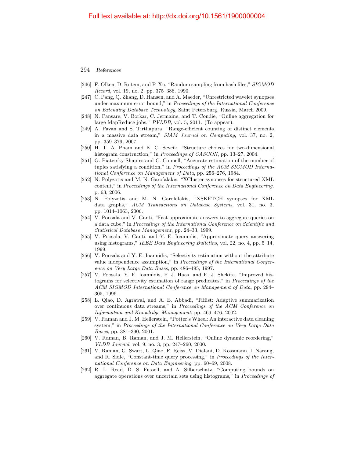- [246] F. Olken, D. Rotem, and P. Xu, "Random sampling from hash files," SIGMOD Record, vol. 19, no. 2, pp. 375–386, 1990.
- [247] C. Pang, Q. Zhang, D. Hansen, and A. Maeder, "Unrestricted wavelet synopses under maximum error bound," in Proceedings of the International Conference on Extending Database Technology, Saint Petersburg, Russia, March 2009.
- [248] N. Pansare, V. Borkar, C. Jermaine, and T. Condie, "Online aggregation for large MapReduce jobs," PVLDB, vol. 5, 2011. (To appear).
- [249] A. Pavan and S. Tirthapura, "Range-efficient counting of distinct elements in a massive data stream," SIAM Journal on Computing, vol. 37, no. 2, pp. 359–379, 2007.
- [250] H. T. A. Pham and K. C. Sevcik, "Structure choices for two-dimensional histogram construction," in *Proceedings of CASCON*, pp. 13–27, 2004.
- [251] G. Piatetsky-Shapiro and C. Connell, "Accurate estimation of the number of tuples satisfying a condition," in Proceedings of the ACM SIGMOD International Conference on Management of Data, pp. 256–276, 1984.
- [252] N. Polyzotis and M. N. Garofalakis, "XCluster synopses for structured XML content," in Proceedings of the International Conference on Data Engineering, p. 63, 2006.
- [253] N. Polyzotis and M. N. Garofalakis, "XSKETCH synopses for XML data graphs," ACM Transactions on Database Systems, vol. 31, no. 3, pp. 1014–1063, 2006.
- [254] V. Poosala and V. Ganti, "Fast approximate answers to aggregate queries on a data cube," in Proceedings of the International Conference on Scientific and Statistical Database Management, pp. 24–33, 1999.
- [255] V. Poosala, V. Ganti, and Y. E. Ioannidis, "Approximate query answering using histograms," IEEE Data Engineering Bulletins, vol. 22, no. 4, pp. 5–14, 1999.
- [256] V. Poosala and Y. E. Ioannidis, "Selectivity estimation without the attribute value independence assumption," in Proceedings of the International Conference on Very Large Data Bases, pp. 486–495, 1997.
- [257] V. Poosala, Y. E. Ioannidis, P. J. Haas, and E. J. Shekita, "Improved histograms for selectivity estimation of range predicates," in Proceedings of the ACM SIGMOD International Conference on Management of Data, pp. 294– 305, 1996.
- [258] L. Qiao, D. Agrawal, and A. E. Abbadi, "RHist: Adaptive summarization over continuous data streams," in Proceedings of the ACM Conference on Information and Knowledge Management, pp. 469–476, 2002.
- [259] V. Raman and J. M. Hellerstein, "Potter's Wheel: An interactive data cleaning system," in Proceedings of the International Conference on Very Large Data Bases, pp. 381–390, 2001.
- [260] V. Raman, B. Raman, and J. M. Hellerstein, "Online dynamic reordering," VLDB Journal, vol. 9, no. 3, pp. 247–260, 2000.
- [261] V. Raman, G. Swart, L. Qiao, F. Reiss, V. Dialani, D. Kossmann, I. Narang, and R. Sidle, "Constant-time query processing," in Proceedings of the International Conference on Data Engineering, pp. 60–69, 2008.
- [262] R. L. Read, D. S. Fussell, and A. Silberschatz, "Computing bounds on aggregate operations over uncertain sets using histograms," in Proceedings of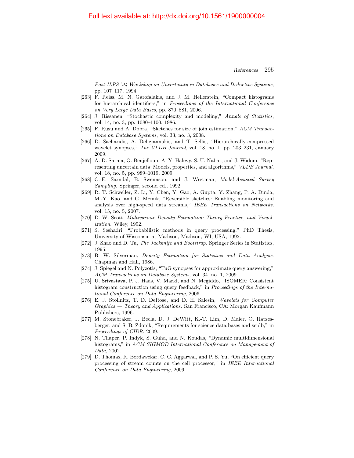Post-ILPS '94 Workshop on Uncertainty in Databases and Deductive Systems, pp. 107–117, 1994.

- [263] F. Reiss, M. N. Garofalakis, and J. M. Hellerstein, "Compact histograms for hierarchical identifiers," in Proceedings of the International Conference on Very Large Data Bases, pp. 870–881, 2006.
- [264] J. Rissanen, "Stochastic complexity and modeling," Annals of Statistics, vol. 14, no. 3, pp. 1080–1100, 1986.
- [265] F. Rusu and A. Dobra, "Sketches for size of join estimation," ACM Transactions on Database Systems, vol. 33, no. 3, 2008.
- [266] D. Sacharidis, A. Deligiannakis, and T. Sellis, "Hierarchically-compressed wavelet synopses," The VLDB Journal, vol. 18, no. 1, pp. 203–231, January 2009.
- [267] A. D. Sarma, O. Benjelloun, A. Y. Halevy, S. U. Nabar, and J. Widom, "Representing uncertain data: Models, properties, and algorithms," VLDB Journal, vol. 18, no. 5, pp. 989–1019, 2009.
- [268] C.-E. Sarndal, B. Swennson, and J. Wretman, Model-Assisted Survey Sampling. Springer, second ed., 1992.
- [269] R. T. Schweller, Z. Li, Y. Chen, Y. Gao, A. Gupta, Y. Zhang, P. A. Dinda, M.-Y. Kao, and G. Memik, "Reversible sketches: Enabling monitoring and analysis over high-speed data streams," IEEE Transactions on Networks, vol. 15, no. 5, 2007.
- [270] D. W. Scott, Multivariate Density Estimation: Theory Practice, and Visualization. Wiley, 1992.
- [271] S. Seshadri, "Probabilistic methods in query processing," PhD Thesis, University of Wisconsin at Madison, Madison, WI, USA, 1992.
- [272] J. Shao and D. Tu, The Jackknife and Bootstrap. Springer Series in Statistics, 1995.
- [273] B. W. Silverman, Density Estimation for Statistics and Data Analysis. Chapman and Hall, 1986.
- [274] J. Spiegel and N. Polyzotis, "TuG synopses for approximate query answering," ACM Transactions on Database Systems, vol. 34, no. 1, 2009.
- [275] U. Srivastava, P. J. Haas, V. Markl, and N. Megiddo, "ISOMER: Consistent histogram construction using query feedback," in *Proceedings of the Interna*tional Conference on Data Engineering, 2006.
- [276] E. J. Stollnitz, T. D. DeRose, and D. H. Salesin, Wavelets for Computer Graphics — Theory and Applications. San Francisco, CA: Morgan Kaufmann Publishers, 1996.
- [277] M. Stonebraker, J. Becla, D. J. DeWitt, K.-T. Lim, D. Maier, O. Ratzesberger, and S. B. Zdonik, "Requirements for science data bases and scidb," in Proceedings of CIDR, 2009.
- [278] N. Thaper, P. Indyk, S. Guha, and N. Koudas, "Dynamic multidimensional histograms," in ACM SIGMOD International Conference on Management of Data, 2002.
- [279] D. Thomas, R. Bordawekar, C. C. Aggarwal, and P. S. Yu, "On efficient query processing of stream counts on the cell processor," in IEEE International Conference on Data Engineering, 2009.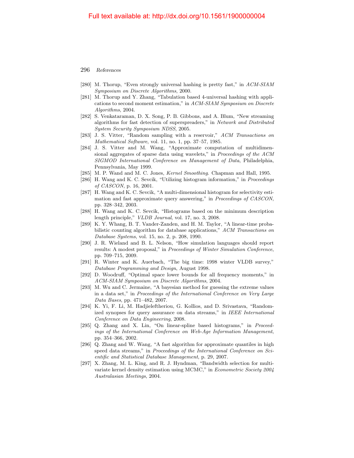- [280] M. Thorup, "Even strongly universal hashing is pretty fast," in ACM-SIAM Symposium on Discrete Algorithms, 2000.
- [281] M. Thorup and Y. Zhang, "Tabulation based 4-universal hashing with applications to second moment estimation," in ACM-SIAM Symposium on Discrete Algorithms, 2004.
- [282] S. Venkataraman, D. X. Song, P. B. Gibbons, and A. Blum, "New streaming algorithms for fast detection of superspreaders," in Network and Distributed System Security Symposium NDSS, 2005.
- [283] J. S. Vitter, "Random sampling with a reservoir," ACM Transactions on Mathematical Software, vol. 11, no. 1, pp. 37–57, 1985.
- [284] J. S. Vitter and M. Wang, "Approximate computation of multidimensional aggregates of sparse data using wavelets," in *Proceedings of the ACM* SIGMOD International Conference on Management of Data, Philadelphia, Pennsylvania, May 1999.
- [285] M. P. Wand and M. C. Jones, Kernel Smoothing. Chapman and Hall, 1995.
- [286] H. Wang and K. C. Sevcik, "Utilizing histogram information," in Proceedings of CASCON, p. 16, 2001.
- [287] H. Wang and K. C. Sevcik, "A multi-dimensional histogram for selectivity estimation and fast approximate query answering," in Proceedings of CASCON, pp. 328–342, 2003.
- [288] H. Wang and K. C. Sevcik, "Histograms based on the minimum description length principle," VLDB Journal, vol. 17, no. 3, 2008.
- [289] K. Y. Whang, B. T. Vander-Zanden, and H. M. Taylor, "A linear-time probabilistic counting algorithm for database applications," ACM Transactions on Database Systems, vol. 15, no. 2, p. 208, 1990.
- [290] J. R. Wieland and B. L. Nelson, "How simulation languages should report results: A modest proposal," in Proceedings of Winter Simulation Conference, pp. 709–715, 2009.
- [291] R. Winter and K. Auerbach, "The big time: 1998 winter VLDB survey," Database Programming and Design, August 1998.
- [292] D. Woodruff, "Optimal space lower bounds for all frequency moments," in ACM-SIAM Symposium on Discrete Algorithms, 2004.
- [293] M. Wu and C. Jermaine, "A bayesian method for guessing the extreme values in a data set," in Proceedings of the International Conference on Very Large Data Bases, pp. 471–482, 2007.
- [294] K. Yi, F. Li, M. Hadjieleftheriou, G. Kollios, and D. Srivastava, "Randomized synopses for query assurance on data streams," in IEEE International Conference on Data Engineering, 2008.
- [295] Q. Zhang and X. Lin, "On linear-spline based histograms," in Proceedings of the International Conference on Web-Age Information Management, pp. 354–366, 2002.
- [296] Q. Zhang and W. Wang, "A fast algorithm for approximate quantiles in high speed data streams," in Proceedings of the International Conference on Scientific and Statistical Database Management, p. 29, 2007.
- [297] X. Zhang, M. L. King, and R. J. Hyndman, "Bandwidth selection for multivariate kernel density estimation using MCMC," in Econometric Society 2004 Australasian Meetings, 2004.